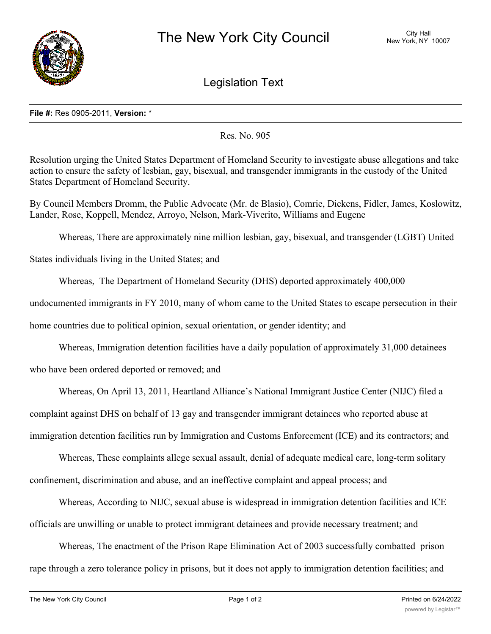

Legislation Text

## **File #:** Res 0905-2011, **Version:** \*

Res. No. 905

Resolution urging the United States Department of Homeland Security to investigate abuse allegations and take action to ensure the safety of lesbian, gay, bisexual, and transgender immigrants in the custody of the United States Department of Homeland Security.

By Council Members Dromm, the Public Advocate (Mr. de Blasio), Comrie, Dickens, Fidler, James, Koslowitz, Lander, Rose, Koppell, Mendez, Arroyo, Nelson, Mark-Viverito, Williams and Eugene

Whereas, There are approximately nine million lesbian, gay, bisexual, and transgender (LGBT) United

States individuals living in the United States; and

Whereas, The Department of Homeland Security (DHS) deported approximately 400,000

undocumented immigrants in FY 2010, many of whom came to the United States to escape persecution in their

home countries due to political opinion, sexual orientation, or gender identity; and

Whereas, Immigration detention facilities have a daily population of approximately 31,000 detainees

who have been ordered deported or removed; and

Whereas, On April 13, 2011, Heartland Alliance's National Immigrant Justice Center (NIJC) filed a complaint against DHS on behalf of 13 gay and transgender immigrant detainees who reported abuse at immigration detention facilities run by Immigration and Customs Enforcement (ICE) and its contractors; and

Whereas, These complaints allege sexual assault, denial of adequate medical care, long-term solitary confinement, discrimination and abuse, and an ineffective complaint and appeal process; and

Whereas, According to NIJC, sexual abuse is widespread in immigration detention facilities and ICE officials are unwilling or unable to protect immigrant detainees and provide necessary treatment; and

Whereas, The enactment of the Prison Rape Elimination Act of 2003 successfully combatted prison rape through a zero tolerance policy in prisons, but it does not apply to immigration detention facilities; and